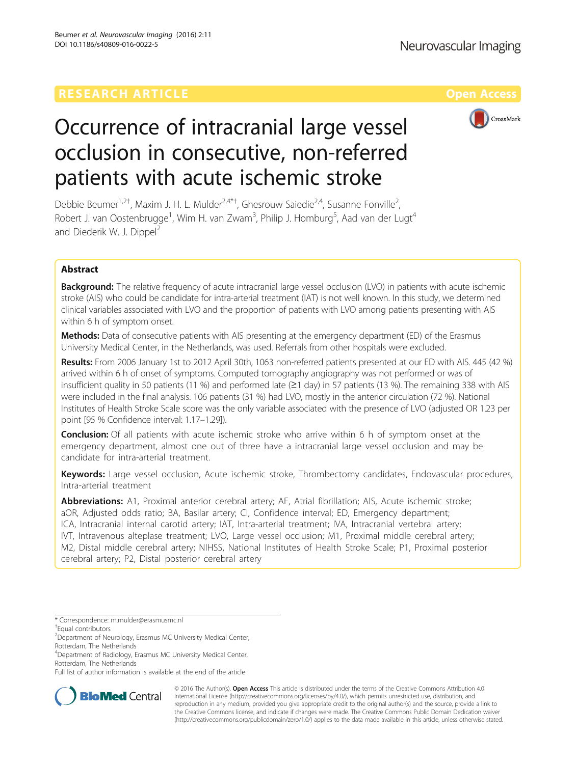

# Occurrence of intracranial large vessel occlusion in consecutive, non-referred patients with acute ischemic stroke

Debbie Beumer<sup>1,2†</sup>, Maxim J. H. L. Mulder<sup>2,4\*†</sup>, Ghesrouw Saiedie<sup>2,4</sup>, Susanne Fonville<sup>2</sup> , Robert J. van Oostenbrugge<sup>1</sup>, Wim H. van Zwam<sup>3</sup>, Philip J. Homburg<sup>5</sup>, Aad van der Lugt<sup>4</sup> and Diederik W. J. Dippel<sup>2</sup>

## Abstract

**Background:** The relative frequency of acute intracranial large vessel occlusion (LVO) in patients with acute ischemic stroke (AIS) who could be candidate for intra-arterial treatment (IAT) is not well known. In this study, we determined clinical variables associated with LVO and the proportion of patients with LVO among patients presenting with AIS within 6 h of symptom onset.

**Methods:** Data of consecutive patients with AIS presenting at the emergency department (ED) of the Erasmus University Medical Center, in the Netherlands, was used. Referrals from other hospitals were excluded.

Results: From 2006 January 1st to 2012 April 30th, 1063 non-referred patients presented at our ED with AIS. 445 (42 %) arrived within 6 h of onset of symptoms. Computed tomography angiography was not performed or was of insufficient quality in 50 patients (11 %) and performed late (≥1 day) in 57 patients (13 %). The remaining 338 with AIS were included in the final analysis. 106 patients (31 %) had LVO, mostly in the anterior circulation (72 %). National Institutes of Health Stroke Scale score was the only variable associated with the presence of LVO (adjusted OR 1.23 per point [95 % Confidence interval: 1.17–1.29]).

**Conclusion:** Of all patients with acute ischemic stroke who arrive within 6 h of symptom onset at the emergency department, almost one out of three have a intracranial large vessel occlusion and may be candidate for intra-arterial treatment.

Keywords: Large vessel occlusion, Acute ischemic stroke, Thrombectomy candidates, Endovascular procedures, Intra-arterial treatment

Abbreviations: A1, Proximal anterior cerebral artery; AF, Atrial fibrillation; AIS, Acute ischemic stroke; aOR, Adjusted odds ratio; BA, Basilar artery; CI, Confidence interval; ED, Emergency department; ICA, Intracranial internal carotid artery; IAT, Intra-arterial treatment; IVA, Intracranial vertebral artery; IVT, Intravenous alteplase treatment; LVO, Large vessel occlusion; M1, Proximal middle cerebral artery; M2, Distal middle cerebral artery; NIHSS, National Institutes of Health Stroke Scale; P1, Proximal posterior cerebral artery; P2, Distal posterior cerebral artery

Full list of author information is available at the end of the article



© 2016 The Author(s). Open Access This article is distributed under the terms of the Creative Commons Attribution 4.0 International License [\(http://creativecommons.org/licenses/by/4.0/](http://creativecommons.org/licenses/by/4.0/)), which permits unrestricted use, distribution, and reproduction in any medium, provided you give appropriate credit to the original author(s) and the source, provide a link to the Creative Commons license, and indicate if changes were made. The Creative Commons Public Domain Dedication waiver [\(http://creativecommons.org/publicdomain/zero/1.0/](http://creativecommons.org/publicdomain/zero/1.0/)) applies to the data made available in this article, unless otherwise stated.

<sup>\*</sup> Correspondence: [m.mulder@erasmusmc.nl](mailto:m.mulder@erasmusmc.nl) †

Equal contributors

<sup>&</sup>lt;sup>2</sup> Department of Neurology, Erasmus MC University Medical Center, Rotterdam, The Netherlands

<sup>&</sup>lt;sup>4</sup>Department of Radiology, Erasmus MC University Medical Center, Rotterdam, The Netherlands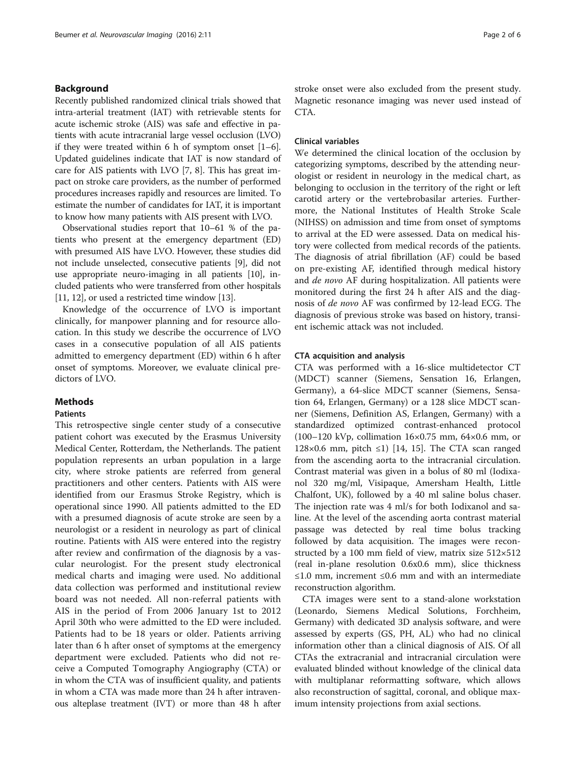## Background

Recently published randomized clinical trials showed that intra-arterial treatment (IAT) with retrievable stents for acute ischemic stroke (AIS) was safe and effective in patients with acute intracranial large vessel occlusion (LVO) if they were treated within [6](#page-4-0) h of symptom onset  $[1-6]$  $[1-6]$  $[1-6]$ . Updated guidelines indicate that IAT is now standard of care for AIS patients with LVO [\[7](#page-4-0), [8](#page-4-0)]. This has great impact on stroke care providers, as the number of performed procedures increases rapidly and resources are limited. To estimate the number of candidates for IAT, it is important to know how many patients with AIS present with LVO.

Observational studies report that 10–61 % of the patients who present at the emergency department (ED) with presumed AIS have LVO. However, these studies did not include unselected, consecutive patients [[9\]](#page-4-0), did not use appropriate neuro-imaging in all patients [\[10\]](#page-4-0), included patients who were transferred from other hospitals [[11](#page-4-0), [12\]](#page-4-0), or used a restricted time window [[13](#page-4-0)].

Knowledge of the occurrence of LVO is important clinically, for manpower planning and for resource allocation. In this study we describe the occurrence of LVO cases in a consecutive population of all AIS patients admitted to emergency department (ED) within 6 h after onset of symptoms. Moreover, we evaluate clinical predictors of LVO.

## Methods

## **Patients**

This retrospective single center study of a consecutive patient cohort was executed by the Erasmus University Medical Center, Rotterdam, the Netherlands. The patient population represents an urban population in a large city, where stroke patients are referred from general practitioners and other centers. Patients with AIS were identified from our Erasmus Stroke Registry, which is operational since 1990. All patients admitted to the ED with a presumed diagnosis of acute stroke are seen by a neurologist or a resident in neurology as part of clinical routine. Patients with AIS were entered into the registry after review and confirmation of the diagnosis by a vascular neurologist. For the present study electronical medical charts and imaging were used. No additional data collection was performed and institutional review board was not needed. All non-referral patients with AIS in the period of From 2006 January 1st to 2012 April 30th who were admitted to the ED were included. Patients had to be 18 years or older. Patients arriving later than 6 h after onset of symptoms at the emergency department were excluded. Patients who did not receive a Computed Tomography Angiography (CTA) or in whom the CTA was of insufficient quality, and patients in whom a CTA was made more than 24 h after intravenous alteplase treatment (IVT) or more than 48 h after stroke onset were also excluded from the present study. Magnetic resonance imaging was never used instead of CTA.

## Clinical variables

We determined the clinical location of the occlusion by categorizing symptoms, described by the attending neurologist or resident in neurology in the medical chart, as belonging to occlusion in the territory of the right or left carotid artery or the vertebrobasilar arteries. Furthermore, the National Institutes of Health Stroke Scale (NIHSS) on admission and time from onset of symptoms to arrival at the ED were assessed. Data on medical history were collected from medical records of the patients. The diagnosis of atrial fibrillation (AF) could be based on pre-existing AF, identified through medical history and de novo AF during hospitalization. All patients were monitored during the first 24 h after AIS and the diagnosis of de novo AF was confirmed by 12-lead ECG. The diagnosis of previous stroke was based on history, transient ischemic attack was not included.

#### CTA acquisition and analysis

CTA was performed with a 16-slice multidetector CT (MDCT) scanner (Siemens, Sensation 16, Erlangen, Germany), a 64-slice MDCT scanner (Siemens, Sensation 64, Erlangen, Germany) or a 128 slice MDCT scanner (Siemens, Definition AS, Erlangen, Germany) with a standardized optimized contrast-enhanced protocol (100–120 kVp, collimation 16×0.75 mm, 64×0.6 mm, or  $128\times0.6$  mm, pitch ≤1) [\[14](#page-4-0), [15](#page-5-0)]. The CTA scan ranged from the ascending aorta to the intracranial circulation. Contrast material was given in a bolus of 80 ml (Iodixanol 320 mg/ml, Visipaque, Amersham Health, Little Chalfont, UK), followed by a 40 ml saline bolus chaser. The injection rate was 4 ml/s for both Iodixanol and saline. At the level of the ascending aorta contrast material passage was detected by real time bolus tracking followed by data acquisition. The images were reconstructed by a 100 mm field of view, matrix size 512×512 (real in-plane resolution 0.6x0.6 mm), slice thickness ≤1.0 mm, increment ≤0.6 mm and with an intermediate reconstruction algorithm.

CTA images were sent to a stand-alone workstation (Leonardo, Siemens Medical Solutions, Forchheim, Germany) with dedicated 3D analysis software, and were assessed by experts (GS, PH, AL) who had no clinical information other than a clinical diagnosis of AIS. Of all CTAs the extracranial and intracranial circulation were evaluated blinded without knowledge of the clinical data with multiplanar reformatting software, which allows also reconstruction of sagittal, coronal, and oblique maximum intensity projections from axial sections.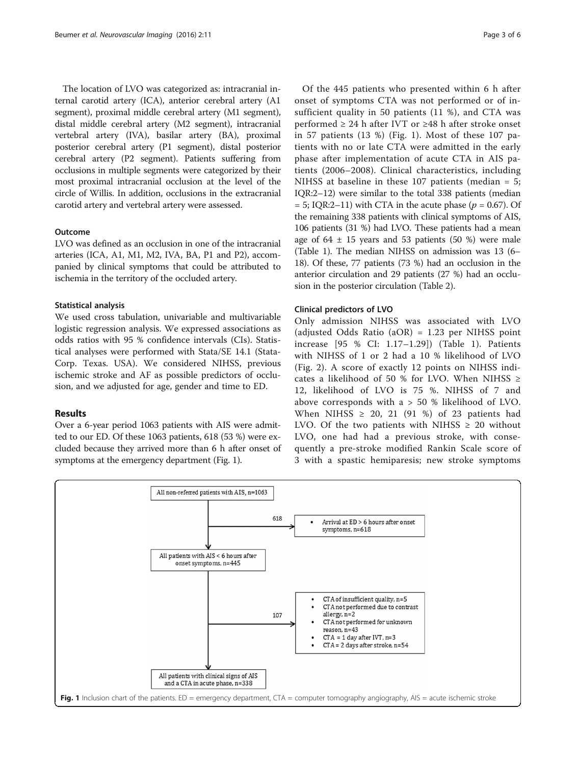The location of LVO was categorized as: intracranial internal carotid artery (ICA), anterior cerebral artery (A1 segment), proximal middle cerebral artery (M1 segment), distal middle cerebral artery (M2 segment), intracranial vertebral artery (IVA), basilar artery (BA), proximal posterior cerebral artery (P1 segment), distal posterior cerebral artery (P2 segment). Patients suffering from occlusions in multiple segments were categorized by their most proximal intracranial occlusion at the level of the circle of Willis. In addition, occlusions in the extracranial carotid artery and vertebral artery were assessed.

## Outcome

LVO was defined as an occlusion in one of the intracranial arteries (ICA, A1, M1, M2, IVA, BA, P1 and P2), accompanied by clinical symptoms that could be attributed to ischemia in the territory of the occluded artery.

#### Statistical analysis

We used cross tabulation, univariable and multivariable logistic regression analysis. We expressed associations as odds ratios with 95 % confidence intervals (CIs). Statistical analyses were performed with Stata/SE 14.1 (Stata-Corp. Texas. USA). We considered NIHSS, previous ischemic stroke and AF as possible predictors of occlusion, and we adjusted for age, gender and time to ED.

## Results

Over a 6-year period 1063 patients with AIS were admitted to our ED. Of these 1063 patients, 618 (53 %) were excluded because they arrived more than 6 h after onset of symptoms at the emergency department (Fig. 1).

Of the 445 patients who presented within 6 h after onset of symptoms CTA was not performed or of insufficient quality in 50 patients (11 %), and CTA was performed  $\geq 24$  h after IVT or  $\geq 48$  h after stroke onset in 57 patients (13 %) (Fig. 1). Most of these 107 patients with no or late CTA were admitted in the early phase after implementation of acute CTA in AIS patients (2006–2008). Clinical characteristics, including NIHSS at baseline in these 107 patients (median = 5; IQR:2–12) were similar to the total 338 patients (median  $= 5$ ; IQR:2–11) with CTA in the acute phase ( $p = 0.67$ ). Of the remaining 338 patients with clinical symptoms of AIS, 106 patients (31 %) had LVO. These patients had a mean age of  $64 \pm 15$  years and 53 patients (50 %) were male (Table [1](#page-3-0)). The median NIHSS on admission was 13 (6– 18). Of these, 77 patients (73 %) had an occlusion in the anterior circulation and 29 patients (27 %) had an occlusion in the posterior circulation (Table [2\)](#page-3-0).

#### Clinical predictors of LVO

Only admission NIHSS was associated with LVO (adjusted Odds Ratio (aOR) = 1.23 per NIHSS point increase [95 % CI: 1.17–1.29]) (Table [1](#page-3-0)). Patients with NIHSS of 1 or 2 had a 10 % likelihood of LVO (Fig. [2](#page-3-0)). A score of exactly 12 points on NIHSS indicates a likelihood of 50 % for LVO. When NIHSS  $\ge$ 12, likelihood of LVO is 75 %. NIHSS of 7 and above corresponds with a > 50 % likelihood of LVO. When NIHSS  $\geq$  20, 21 (91 %) of 23 patients had LVO. Of the two patients with NIHSS  $\geq$  20 without LVO, one had had a previous stroke, with consequently a pre-stroke modified Rankin Scale score of 3 with a spastic hemiparesis; new stroke symptoms

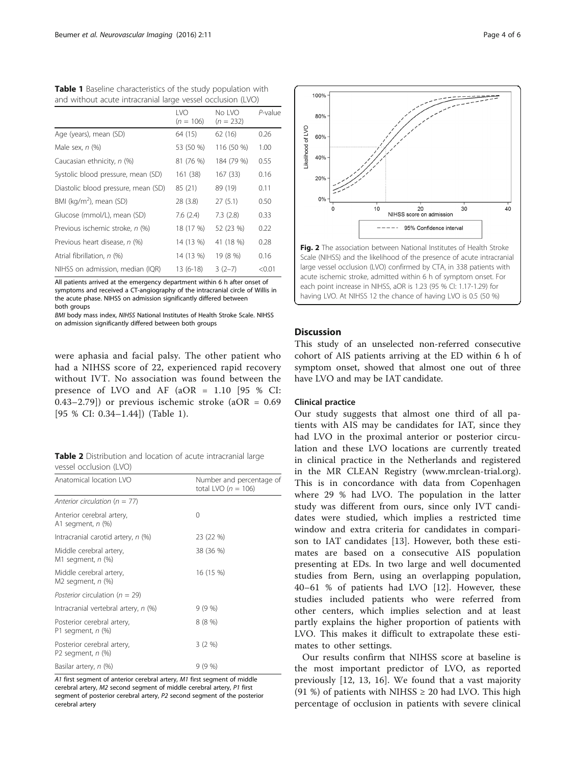| and without acute intracranial large vessel occlusion (LVO) |                     |                       |            |
|-------------------------------------------------------------|---------------------|-----------------------|------------|
|                                                             | I VO<br>$(n = 106)$ | No IVO<br>$(n = 232)$ | $P$ -value |
| Age (years), mean (SD)                                      | 64 (15)             | 62 (16)               | 0.26       |
| Male sex, $n$ $(\%)$                                        | 53 (50 %)           | 116 (50 %)            | 1.00       |
| Caucasian ethnicity, n (%)                                  | 81 (76 %)           | 184 (79 %)            | 0.55       |
| Systolic blood pressure, mean (SD)                          | 161 (38)            | 167(33)               | 0.16       |
| Diastolic blood pressure, mean (SD)                         | 85 (21)             | 89 (19)               | 0.11       |
| BMI (kg/m <sup>2</sup> ), mean (SD)                         | 28 (3.8)            | 27(5.1)               | 0.50       |
| Glucose (mmol/L), mean (SD)                                 | 7.6(2.4)            | 7.3(2.8)              | 0.33       |
| Previous ischemic stroke, n (%)                             | 18 (17 %)           | 52 (23 %)             | 0.22       |
| Previous heart disease, n (%)                               | 14 (13 %)           | 41 (18 %)             | 0.28       |
| Atrial fibrillation, n (%)                                  | 14 (13 %)           | 19 (8 %)              | 0.16       |
| NIHSS on admission, median (IQR)                            | 13 (6-18)           | $3(2-7)$              | < 0.01     |

<span id="page-3-0"></span>Table 1 Baseline characteristics of the study population with

All patients arrived at the emergency department within 6 h after onset of symptoms and received a CT-angiography of the intracranial circle of Willis in the acute phase. NIHSS on admission significantly differed between both groups

BMI body mass index, NIHSS National Institutes of Health Stroke Scale. NIHSS on admission significantly differed between both groups

were aphasia and facial palsy. The other patient who had a NIHSS score of 22, experienced rapid recovery without IVT. No association was found between the presence of LVO and AF (aOR = 1.10 [95 % CI: 0.43–2.79]) or previous ischemic stroke  $(aOR = 0.69)$ [95 % CI: 0.34–1.44]) (Table 1).

Table 2 Distribution and location of acute intracranial large vessel occlusion (LVO)

| Anatomical location LVO                                | Number and percentage of<br>total LVO ( $n = 106$ ) |  |
|--------------------------------------------------------|-----------------------------------------------------|--|
| Anterior circulation ( $n = 77$ )                      |                                                     |  |
| Anterior cerebral artery,<br>A1 segment, <i>n</i> (%)  | $\Omega$                                            |  |
| Intracranial carotid artery, $n$ (%)                   | 23 (22 %)                                           |  |
| Middle cerebral artery,<br>M1 segment, <i>n</i> (%)    | 38 (36 %)                                           |  |
| Middle cerebral artery,<br>M2 segment, <i>n</i> (%)    | 16 (15 %)                                           |  |
| Posterior circulation ( $n = 29$ )                     |                                                     |  |
| Intracranial vertebral artery, n (%)                   | 9(9%                                                |  |
| Posterior cerebral artery,<br>P1 segment, <i>n</i> (%) | 8 (8 %)                                             |  |
| Posterior cerebral artery,<br>P2 segment, $n$ (%)      | 3(2%)                                               |  |
| Basilar artery, n (%)                                  | 9 (9 %)                                             |  |

A1 first segment of anterior cerebral artery, M1 first segment of middle cerebral artery, M2 second segment of middle cerebral artery, P1 first segment of posterior cerebral artery, P2 second segment of the posterior cerebral artery



## Discussion

This study of an unselected non-referred consecutive cohort of AIS patients arriving at the ED within 6 h of symptom onset, showed that almost one out of three have LVO and may be IAT candidate.

## Clinical practice

Our study suggests that almost one third of all patients with AIS may be candidates for IAT, since they had LVO in the proximal anterior or posterior circulation and these LVO locations are currently treated in clinical practice in the Netherlands and registered in the MR CLEAN Registry ([www.mrclean-trial.org](http://www.mrclean-trial.org/)). This is in concordance with data from Copenhagen where 29 % had LVO. The population in the latter study was different from ours, since only IVT candidates were studied, which implies a restricted time window and extra criteria for candidates in comparison to IAT candidates [\[13](#page-4-0)]. However, both these estimates are based on a consecutive AIS population presenting at EDs. In two large and well documented studies from Bern, using an overlapping population, 40–61 % of patients had LVO [\[12](#page-4-0)]. However, these studies included patients who were referred from other centers, which implies selection and at least partly explains the higher proportion of patients with LVO. This makes it difficult to extrapolate these estimates to other settings.

Our results confirm that NIHSS score at baseline is the most important predictor of LVO, as reported previously [[12, 13](#page-4-0), [16](#page-5-0)]. We found that a vast majority (91 %) of patients with NIHSS  $\geq$  20 had LVO. This high percentage of occlusion in patients with severe clinical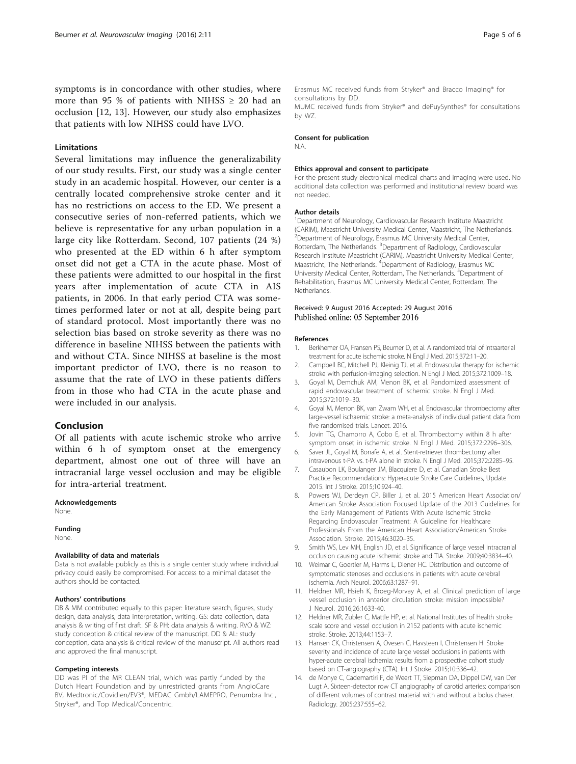<span id="page-4-0"></span>symptoms is in concordance with other studies, where more than 95 % of patients with NIHSS  $\geq$  20 had an occlusion [12, 13]. However, our study also emphasizes that patients with low NIHSS could have LVO.

#### Limitations

Several limitations may influence the generalizability of our study results. First, our study was a single center study in an academic hospital. However, our center is a centrally located comprehensive stroke center and it has no restrictions on access to the ED. We present a consecutive series of non-referred patients, which we believe is representative for any urban population in a large city like Rotterdam. Second, 107 patients (24 %) who presented at the ED within 6 h after symptom onset did not get a CTA in the acute phase. Most of these patients were admitted to our hospital in the first years after implementation of acute CTA in AIS patients, in 2006. In that early period CTA was sometimes performed later or not at all, despite being part of standard protocol. Most importantly there was no selection bias based on stroke severity as there was no difference in baseline NIHSS between the patients with and without CTA. Since NIHSS at baseline is the most important predictor of LVO, there is no reason to assume that the rate of LVO in these patients differs from in those who had CTA in the acute phase and were included in our analysis.

## Conclusion

Of all patients with acute ischemic stroke who arrive within 6 h of symptom onset at the emergency department, almost one out of three will have an intracranial large vessel occlusion and may be eligible for intra-arterial treatment.

#### Acknowledgements

None.

#### Funding

None.

#### Availability of data and materials

Data is not available publicly as this is a single center study where individual privacy could easily be compromised. For access to a minimal dataset the authors should be contacted.

#### Authors' contributions

DB & MM contributed equally to this paper: literature search, figures, study design, data analysis, data interpretation, writing. GS: data collection, data analysis & writing of first draft. SF & PH: data analysis & writing. RVO & WZ: study conception & critical review of the manuscript. DD & AL: study conception, data analysis & critical review of the manuscript. All authors read and approved the final manuscript.

#### Competing interests

DD was PI of the MR CLEAN trial, which was partly funded by the Dutch Heart Foundation and by unrestricted grants from AngioCare BV, Medtronic/Covidien/EV3®, MEDAC Gmbh/LAMEPRO, Penumbra Inc., Stryker®, and Top Medical/Concentric.

Erasmus MC received funds from Stryker® and Bracco Imaging® for consultations by DD. MUMC received funds from Stryker® and dePuySynthes® for consultations by WZ.

#### Consent for publication

N.A.

#### Ethics approval and consent to participate

For the present study electronical medical charts and imaging were used. No additional data collection was performed and institutional review board was not needed.

#### Author details

<sup>1</sup>Department of Neurology, Cardiovascular Research Institute Maastricht (CARIM), Maastricht University Medical Center, Maastricht, The Netherlands. <sup>2</sup>Department of Neurology, Erasmus MC University Medical Center, Rotterdam, The Netherlands. <sup>3</sup>Department of Radiology, Cardiovascular Research Institute Maastricht (CARIM), Maastricht University Medical Center, Maastricht, The Netherlands. <sup>4</sup> Department of Radiology, Erasmus MC University Medical Center, Rotterdam, The Netherlands. <sup>5</sup>Department of Rehabilitation, Erasmus MC University Medical Center, Rotterdam, The Netherlands.

#### Received: 9 August 2016 Accepted: 29 August 2016 Published online: 05 September 2016

#### References

- 1. Berkhemer OA, Fransen PS, Beumer D, et al. A randomized trial of intraarterial treatment for acute ischemic stroke. N Engl J Med. 2015;372:11–20.
- 2. Campbell BC, Mitchell PJ, Kleinig TJ, et al. Endovascular therapy for ischemic stroke with perfusion-imaging selection. N Engl J Med. 2015;372:1009–18.
- Goyal M, Demchuk AM, Menon BK, et al. Randomized assessment of rapid endovascular treatment of ischemic stroke. N Engl J Med. 2015;372:1019–30.
- 4. Goyal M, Menon BK, van Zwam WH, et al. Endovascular thrombectomy after large-vessel ischaemic stroke: a meta-analysis of individual patient data from five randomised trials. Lancet. 2016.
- 5. Jovin TG, Chamorro A, Cobo E, et al. Thrombectomy within 8 h after symptom onset in ischemic stroke. N Engl J Med. 2015;372:2296–306.
- 6. Saver JL, Goyal M, Bonafe A, et al. Stent-retriever thrombectomy after intravenous t-PA vs. t-PA alone in stroke. N Engl J Med. 2015;372:2285–95.
- 7. Casaubon LK, Boulanger JM, Blacquiere D, et al. Canadian Stroke Best Practice Recommendations: Hyperacute Stroke Care Guidelines, Update 2015. Int J Stroke. 2015;10:924–40.
- 8. Powers WJ, Derdeyn CP, Biller J, et al. 2015 American Heart Association/ American Stroke Association Focused Update of the 2013 Guidelines for the Early Management of Patients With Acute Ischemic Stroke Regarding Endovascular Treatment: A Guideline for Healthcare Professionals From the American Heart Association/American Stroke Association. Stroke. 2015;46:3020–35.
- 9. Smith WS, Lev MH, English JD, et al. Significance of large vessel intracranial occlusion causing acute ischemic stroke and TIA. Stroke. 2009;40:3834–40.
- 10. Weimar C, Goertler M, Harms L, Diener HC. Distribution and outcome of symptomatic stenoses and occlusions in patients with acute cerebral ischemia. Arch Neurol. 2006;63:1287–91.
- 11. Heldner MR, Hsieh K, Broeg-Morvay A, et al. Clinical prediction of large vessel occlusion in anterior circulation stroke: mission impossible? J Neurol. 2016;26:1633-40.
- 12. Heldner MR, Zubler C, Mattle HP, et al. National Institutes of Health stroke scale score and vessel occlusion in 2152 patients with acute ischemic stroke. Stroke. 2013;44:1153–7.
- 13. Hansen CK, Christensen A, Ovesen C, Havsteen I, Christensen H. Stroke severity and incidence of acute large vessel occlusions in patients with hyper-acute cerebral ischemia: results from a prospective cohort study based on CT-angiography (CTA). Int J Stroke. 2015;10:336–42.
- 14. de Monye C, Cademartiri F, de Weert TT, Siepman DA, Dippel DW, van Der Lugt A. Sixteen-detector row CT angiography of carotid arteries: comparison of different volumes of contrast material with and without a bolus chaser. Radiology. 2005;237:555–62.